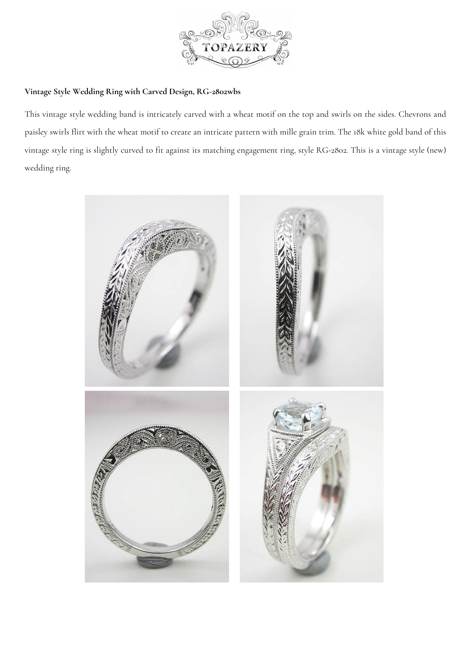

## **Vintage Style Wedding Ring with Carved De[sign, RG-2802wbs](https://www.topazery.com)**

This vintage style wedding band is intricately carved with a wheat motif on the top and swirls on the sides. Chevrons and paisley swirls flirt with the wheat motif to create an intricate pattern with mille grain trim. The 18k white gold band of this vintage style ring is slightly curved to fit against its matching engagement ring, style RG-2802. This is a vintage style (new) wedding ring.

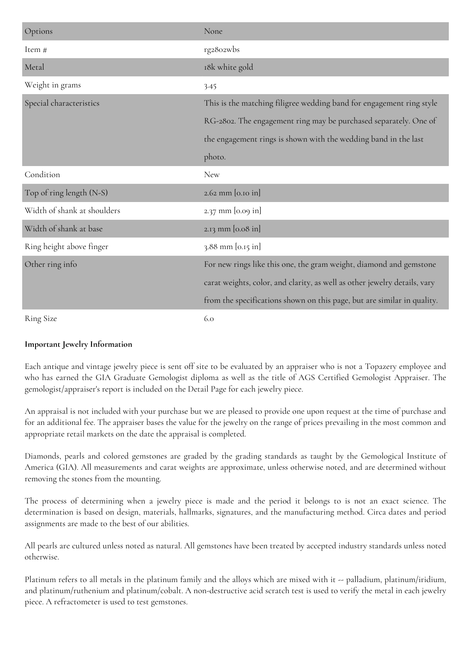| Options                     | None                                                                      |
|-----------------------------|---------------------------------------------------------------------------|
| Item #                      | rg2802wbs                                                                 |
| Metal                       | 18k white gold                                                            |
| Weight in grams             | 3.45                                                                      |
| Special characteristics     | This is the matching filigree wedding band for engagement ring style      |
|                             | RG-2802. The engagement ring may be purchased separately. One of          |
|                             | the engagement rings is shown with the wedding band in the last           |
|                             | photo.                                                                    |
| Condition                   | <b>New</b>                                                                |
| Top of ring length (N-S)    | 2.62 mm [0.10 in]                                                         |
| Width of shank at shoulders | 2.37 mm [0.09 in]                                                         |
| Width of shank at base      | 2.13 mm [0.08 in]                                                         |
| Ring height above finger    | 3.88 mm [0.15 in]                                                         |
| Other ring info             | For new rings like this one, the gram weight, diamond and gemstone        |
|                             | carat weights, color, and clarity, as well as other jewelry details, vary |
|                             | from the specifications shown on this page, but are similar in quality.   |
| <b>Ring Size</b>            | 6.0                                                                       |

## **Important Jewelry Information**

Each antique and vintage jewelry piece is sent off site to be evaluated by an appraiser who is not a Topazery employee and who has earned the GIA Graduate Gemologist diploma as well as the title of AGS Certified Gemologist Appraiser. The gemologist/appraiser's report is included on the Detail Page for each jewelry piece.

An appraisal is not included with your purchase but we are pleased to provide one upon request at the time of purchase and for an additional fee. The appraiser bases the value for the jewelry on the range of prices prevailing in the most common and appropriate retail markets on the date the appraisal is completed.

Diamonds, pearls and colored gemstones are graded by the grading standards as taught by the Gemological Institute of America (GIA). All measurements and carat weights are approximate, unless otherwise noted, and are determined without removing the stones from the mounting.

The process of determining when a jewelry piece is made and the period it belongs to is not an exact science. The determination is based on design, materials, hallmarks, signatures, and the manufacturing method. Circa dates and period assignments are made to the best of our abilities.

All pearls are cultured unless noted as natural. All gemstones have been treated by accepted industry standards unless noted otherwise.

Platinum refers to all metals in the platinum family and the alloys which are mixed with it -- palladium, platinum/iridium, and platinum/ruthenium and platinum/cobalt. A non-destructive acid scratch test is used to verify the metal in each jewelry piece. A refractometer is used to test gemstones.